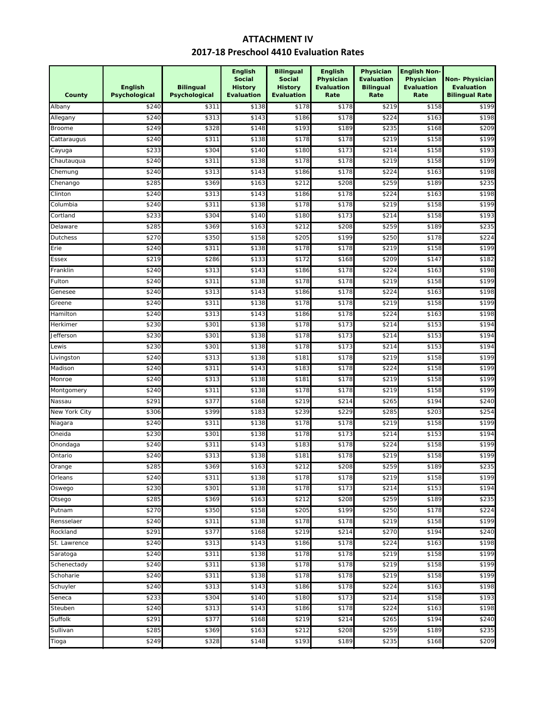## **2017‐18 Preschool 4410 Evaluation Rates ATTACHMENT IV**

| Social<br><b>Social</b><br>Physician<br><b>Evaluation</b><br><b>English</b><br><b>Bilingual</b><br><b>Evaluation</b><br><b>Bilingual</b><br><b>History</b><br><b>History</b><br>Psychological<br>Psychological<br>County<br><b>Evaluation</b><br><b>Evaluation</b><br>Rate<br>Rate | Physician<br><b>Evaluation</b><br>Rate | Non-Physician<br><b>Evaluation</b><br><b>Bilingual Rate</b> |
|------------------------------------------------------------------------------------------------------------------------------------------------------------------------------------------------------------------------------------------------------------------------------------|----------------------------------------|-------------------------------------------------------------|
| Albany<br>\$240<br>\$138<br>\$178<br>\$178<br>\$219<br>\$311                                                                                                                                                                                                                       | \$158                                  | \$199                                                       |
| \$240<br>\$313<br>\$143<br>\$178<br>\$224<br>Allegany<br>\$186                                                                                                                                                                                                                     | \$163                                  | \$198                                                       |
| \$328<br>\$148<br>\$193<br>\$189<br>\$235<br><b>Broome</b><br>\$249                                                                                                                                                                                                                | \$168                                  | \$209                                                       |
| \$311<br>\$138<br>\$178<br>\$178<br>\$219<br>\$24C<br>Cattaraugus                                                                                                                                                                                                                  | \$158                                  | \$199                                                       |
| \$304<br>\$140<br>\$180<br>\$173<br>\$233<br>\$214<br>Cayuga                                                                                                                                                                                                                       | \$158                                  | \$193                                                       |
| \$311<br>\$178<br>\$178<br>\$240<br>\$138<br>\$219<br>Chautauqua                                                                                                                                                                                                                   | \$158                                  | \$199                                                       |
| \$313<br>\$143<br>\$178<br>\$240<br>\$186<br>\$224<br>Chemung                                                                                                                                                                                                                      | \$163                                  | \$198                                                       |
| \$212<br>\$259<br>\$285<br>\$369<br>\$163<br>\$208<br>Chenango                                                                                                                                                                                                                     | \$189                                  | \$235                                                       |
| \$143<br>\$178<br>Clinton<br>\$240<br>\$313<br>\$186<br>\$224                                                                                                                                                                                                                      | \$163                                  | \$198                                                       |
| \$311<br>\$138<br>\$178<br>\$178<br>\$219<br>Columbia<br>\$240                                                                                                                                                                                                                     | \$158                                  | \$199                                                       |
| \$304<br>\$140<br>\$180<br>\$173<br>\$214<br>Cortland<br>\$233                                                                                                                                                                                                                     | \$158                                  | \$193                                                       |
| \$369<br>\$163<br>\$212<br>\$259<br>\$28<br>\$208<br>Delaware                                                                                                                                                                                                                      | \$189                                  | \$235                                                       |
| \$199<br>\$270<br>\$350<br>\$158<br>\$205<br>\$25C<br>Dutchess                                                                                                                                                                                                                     | \$178                                  | \$224                                                       |
| \$311<br>\$138<br>\$178<br>\$178<br>\$219<br>Erie<br>\$24C                                                                                                                                                                                                                         | \$158                                  | \$199                                                       |
| \$219<br>\$286<br>\$133<br>\$172<br>\$209<br>\$168<br>Essex                                                                                                                                                                                                                        | \$147                                  | \$182                                                       |
| \$24C<br>\$313<br>\$143<br>\$186<br>\$178<br>\$224<br>Franklin                                                                                                                                                                                                                     | \$163                                  | \$198                                                       |
| \$311<br>\$138<br>\$178<br>\$178<br>\$219<br>\$240<br>Fulton                                                                                                                                                                                                                       | \$158                                  | \$199                                                       |
| \$313<br>\$143<br>\$186<br>\$178<br>\$240<br>\$224<br>Genesee                                                                                                                                                                                                                      | \$163                                  | \$198                                                       |
| \$311<br>\$138<br>\$178<br>\$178<br>\$219<br>\$240<br>Greene                                                                                                                                                                                                                       | \$158                                  | \$199                                                       |
| \$313<br>\$143<br>\$178<br>Hamilton<br>\$240<br>\$186<br>\$224                                                                                                                                                                                                                     | \$163                                  | \$198                                                       |
| \$230<br>\$178<br>\$173<br>\$301<br>\$138<br>\$214<br>Herkimer                                                                                                                                                                                                                     | \$153                                  | \$194                                                       |
| \$230<br>\$178<br>\$173<br>\$301<br>\$138<br>\$214<br>Jefferson                                                                                                                                                                                                                    | \$153                                  | \$194                                                       |
| \$230<br>\$138<br>\$178<br>\$173<br>\$301<br>\$214<br>Lewis                                                                                                                                                                                                                        | \$153                                  | \$194                                                       |
| \$138<br>\$181<br>\$178<br>\$219<br>\$240<br>\$313<br>Livingston                                                                                                                                                                                                                   | \$158                                  | \$199                                                       |
| \$311<br>\$143<br>\$183<br>\$178<br>\$224<br>Madison<br>\$240                                                                                                                                                                                                                      | \$158                                  | \$199                                                       |
| \$313<br>\$138<br>\$181<br>\$178<br>\$219<br>\$240<br>Monroe                                                                                                                                                                                                                       | \$158                                  | \$199                                                       |
| \$311<br>\$138<br>\$178<br>\$178<br>\$219<br>\$240<br>Montgomery                                                                                                                                                                                                                   | \$158                                  | \$199                                                       |
| \$29<br>\$377<br>\$168<br>\$219<br>\$214<br>\$265<br>Nassau                                                                                                                                                                                                                        | \$194                                  | \$240                                                       |
| New York City<br>\$399<br>\$183<br>\$239<br>\$229<br>\$285<br>\$306                                                                                                                                                                                                                | \$203                                  | \$254                                                       |
| \$240<br>\$311<br>\$138<br>\$178<br>\$178<br>\$219<br>Niagara                                                                                                                                                                                                                      | \$158                                  | \$199                                                       |
| \$230<br>\$301<br>\$138<br>\$178<br>\$173<br>\$214<br>Oneida                                                                                                                                                                                                                       | \$153                                  | \$194                                                       |
| \$311<br>\$143<br>\$183<br>\$178<br>\$240<br>\$224<br>Onondaga                                                                                                                                                                                                                     | \$158                                  | \$199                                                       |
| \$313<br>\$24C<br>\$138<br>\$181<br>\$178<br>\$219<br>Ontario                                                                                                                                                                                                                      | \$158                                  | \$199                                                       |
| \$212<br>\$259<br>Orange<br>\$285<br>\$369<br>\$163<br>\$208                                                                                                                                                                                                                       | \$189                                  | \$235                                                       |
| \$240<br>\$178<br>\$311<br>\$138<br>\$178<br>\$219<br>Orleans                                                                                                                                                                                                                      | \$158                                  | \$199                                                       |
| \$178<br>\$173<br>\$230<br>\$301<br>\$138<br>\$214<br>Oswego                                                                                                                                                                                                                       | \$153                                  | \$194                                                       |
| Otsego<br>\$285<br>\$369<br>\$163<br>\$212<br>\$208<br>\$259                                                                                                                                                                                                                       | \$189                                  | \$235                                                       |
| \$199<br>Putnam<br>\$270<br>\$350<br>\$158<br>\$205<br>\$250                                                                                                                                                                                                                       | \$178                                  | \$224                                                       |
| \$240<br>\$311<br>\$138<br>\$178<br>\$178<br>\$219<br>Rensselaer                                                                                                                                                                                                                   | \$158                                  | \$199                                                       |
| \$291<br>\$377<br>\$168<br>\$219<br>\$214<br>\$270<br>Rockland                                                                                                                                                                                                                     | \$194                                  | \$240                                                       |
| \$240<br>\$313<br>\$143<br>\$186<br>\$178<br>\$224<br>St. Lawrence                                                                                                                                                                                                                 | \$163                                  | \$198                                                       |
| \$240<br>\$311<br>\$138<br>\$178<br>\$178<br>\$219<br>Saratoga                                                                                                                                                                                                                     | \$158                                  | \$199                                                       |
| \$138<br>\$178<br>\$240<br>\$311<br>\$178<br>\$219<br>Schenectady                                                                                                                                                                                                                  | \$158                                  | \$199                                                       |
| \$138<br>\$178<br>\$178<br>Schoharie<br>\$240<br>\$311<br>\$219                                                                                                                                                                                                                    | \$158                                  | \$199                                                       |
| \$143<br>\$178<br>\$240<br>\$313<br>\$186<br>\$224<br>Schuyler                                                                                                                                                                                                                     | \$163                                  | \$198                                                       |
| \$140<br>\$180<br>\$173<br>\$233<br>\$304<br>\$214<br>Seneca                                                                                                                                                                                                                       | \$158                                  | \$193                                                       |
| \$143<br>\$240<br>\$313<br>\$186<br>\$178<br>\$224<br>Steuben                                                                                                                                                                                                                      | \$163                                  | \$198                                                       |
| \$219<br>Suffolk<br>\$291<br>\$377<br>\$168<br>\$214<br>\$265                                                                                                                                                                                                                      | \$194                                  | \$240                                                       |
| \$285<br>\$369<br>\$163<br>\$212<br>\$208<br>\$259<br>Sullivan                                                                                                                                                                                                                     | \$189                                  | \$235                                                       |
| \$193<br>\$249<br>\$328<br>\$148<br>\$189<br>\$235<br>Tioga                                                                                                                                                                                                                        | \$168                                  | \$209                                                       |